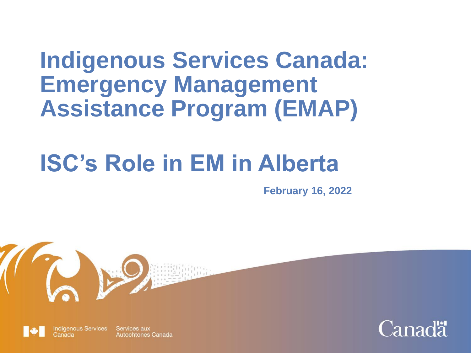# **Indigenous Services Canada: Emergency Management Assistance Program (EMAP)**

# **ISC's Role in EM in Alberta**

**February 16, 2022**

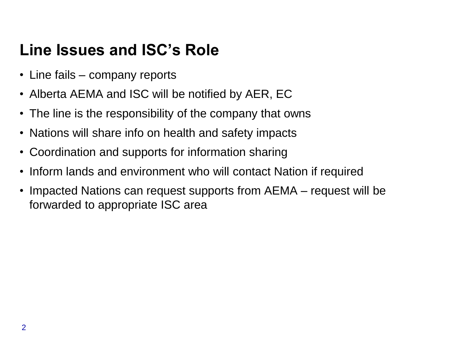### **Line Issues and ISC's Role**

- Line fails company reports
- Alberta AEMA and ISC will be notified by AER, EC
- The line is the responsibility of the company that owns
- Nations will share info on health and safety impacts
- Coordination and supports for information sharing
- Inform lands and environment who will contact Nation if required
- Impacted Nations can request supports from AEMA request will be forwarded to appropriate ISC area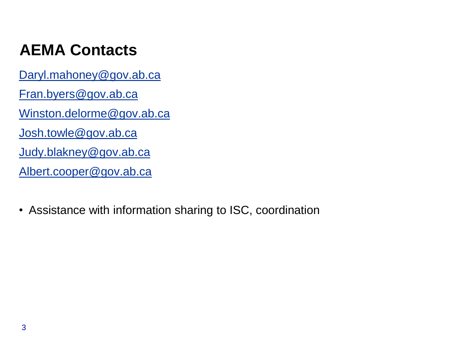## **AEMA Contacts**

[Daryl.mahoney@gov.ab.ca](mailto:Daryl.mahoney@gov.ab.ca) [Fran.byers@gov.ab.ca](mailto:Fran.byers@gov.ab.ca) [Winston.delorme@gov.ab.ca](mailto:Winston.delorme@gov.ab.ca) [Josh.towle@gov.ab.ca](mailto:Josh.towle@gov.ab.ca) [Judy.blakney@gov.ab.ca](mailto:Judy.blakney@gov.ab.ca) [Albert.cooper@gov.ab.ca](mailto:Albert.cooper@gov.ab.ca)

• Assistance with information sharing to ISC, coordination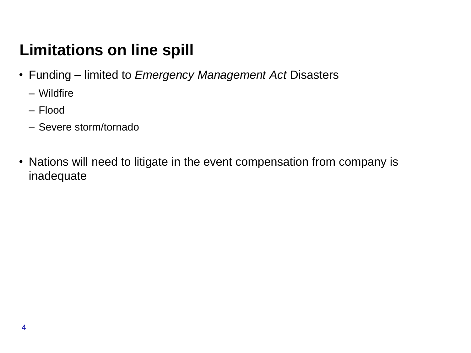## **Limitations on line spill**

- Funding limited to *Emergency Management Act* Disasters
	- Wildfire
	- Flood
	- Severe storm/tornado
- Nations will need to litigate in the event compensation from company is inadequate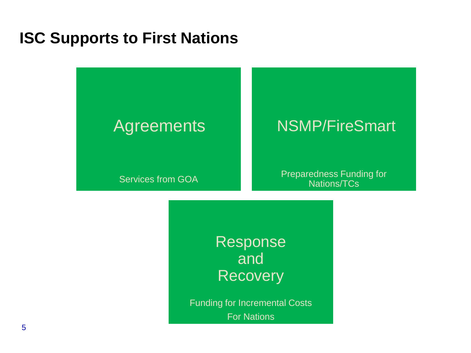#### **ISC Supports to First Nations**

#### **Agreements**

#### NSMP/FireSmart

Services from GOA

Preparedness Funding for Nations/TCs

Response and **Recovery** 

Funding for Incremental Costs For Nations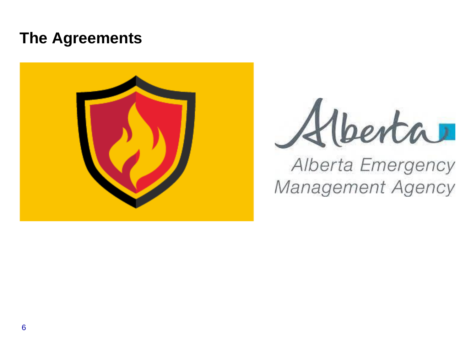#### **The Agreements**





## Alberta Emergency Management Agency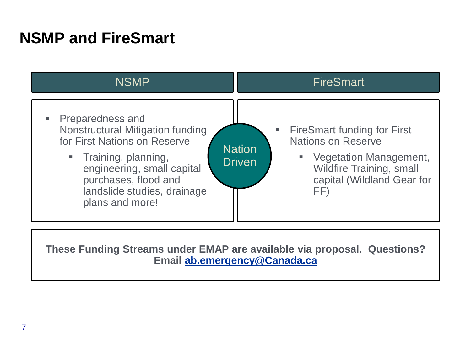### **NSMP and FireSmart**



**These Funding Streams under EMAP are available via proposal. Questions? Email [ab.emergency@Canada.ca](mailto:ab.emergency@Canada.ca)**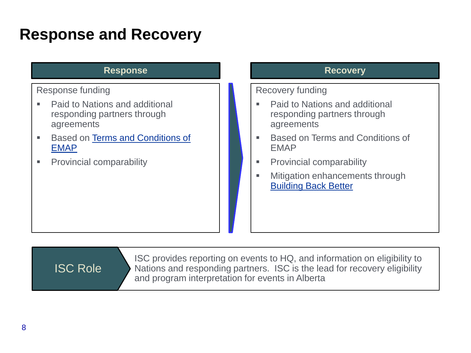#### **Response and Recovery**

#### **Response**

#### Response funding

- Paid to Nations and additional responding partners through agreements
- **Based on Terms and Conditions of** EMAP
- **Provincial comparability**

#### **Recovery**

#### Recovery funding

- Paid to Nations and additional responding partners through agreements
- Based on Terms and Conditions of EMAP
- **Provincial comparability**
- Mitigation enhancements through [Building Back Better](https://www.sac-isc.gc.ca/eng/1534954506773/1535121720820)

ISC Role

ISC provides reporting on events to HQ, and information on eligibility to Nations and responding partners. ISC is the lead for recovery eligibility and program interpretation for events in Alberta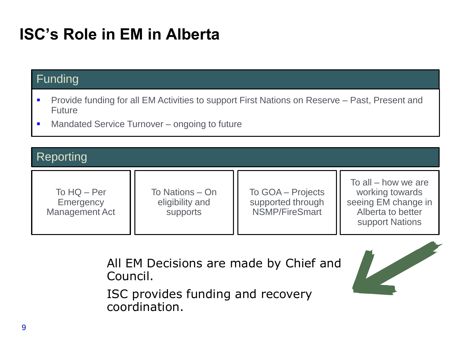## **ISC's Role in EM in Alberta**

#### Funding

- Provide funding for all EM Activities to support First Nations on Reserve Past, Present and Future
- **Mandated Service Turnover ongoing to future**

#### **Reporting**

| To $HQ - Per$<br>Emergency<br>Management Act | To Nations - On<br>eligibility and<br>supports | To GOA - Projects<br>supported through<br><b>NSMP/FireSmart</b> | To all $-$ how we are<br>working towards<br>seeing EM change in<br>Alberta to better<br>support Nations |
|----------------------------------------------|------------------------------------------------|-----------------------------------------------------------------|---------------------------------------------------------------------------------------------------------|
|----------------------------------------------|------------------------------------------------|-----------------------------------------------------------------|---------------------------------------------------------------------------------------------------------|

All EM Decisions are made by Chief and Council.

ISC provides funding and recovery coordination.